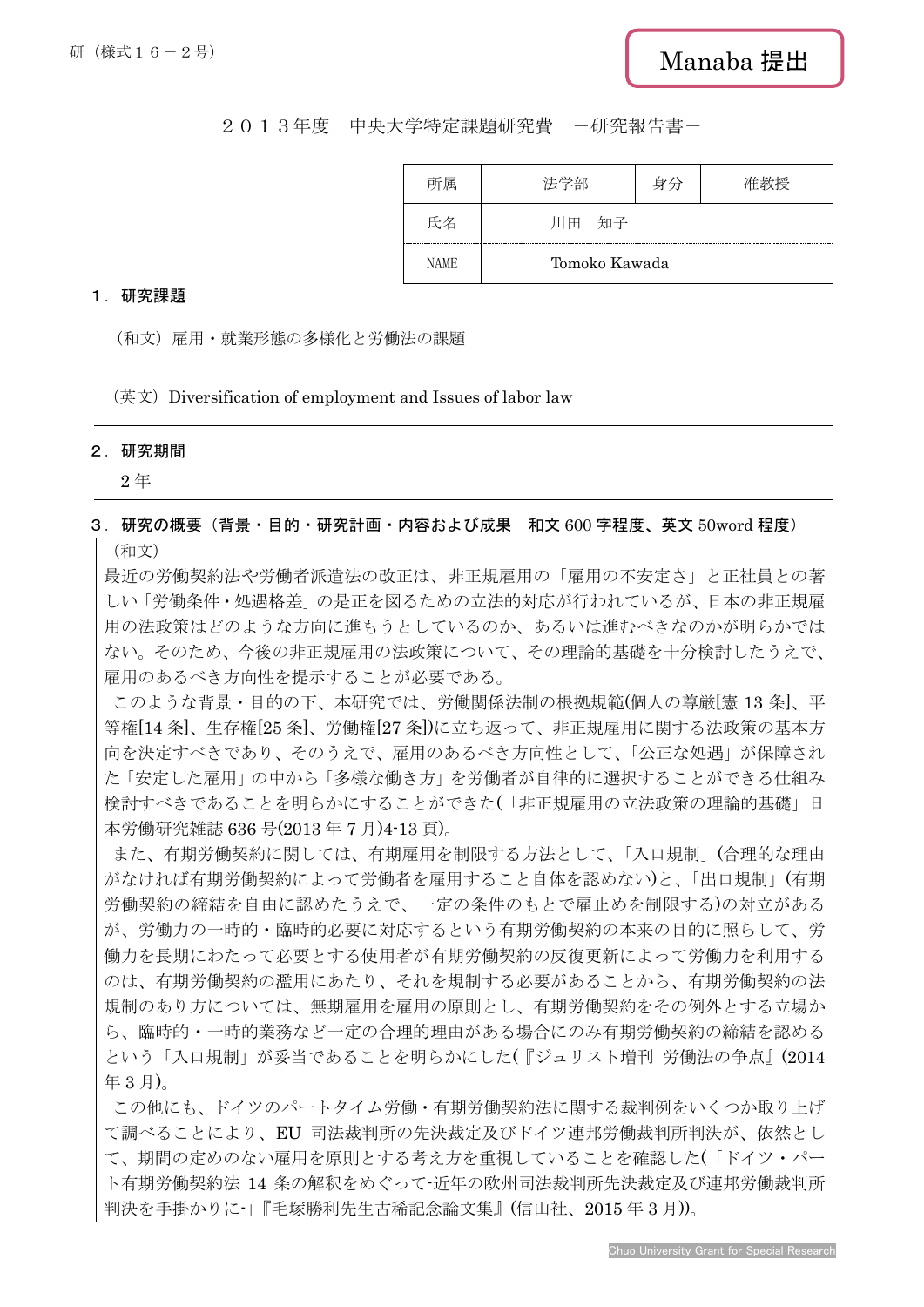# 2013年度 中央大学特定課題研究費 -研究報告書-

| 所属          | 法学部           | 身分 | 将 |
|-------------|---------------|----|---|
| 氏名          | 知子<br>川田      |    |   |
| <b>NAME</b> | Tomoko Kawada |    |   |

### 1.研究課題

(和文)雇用・就業形態の多様化と労働法の課題

 $($ 英文) Diversification of employment and Issues of labor law

#### 2.研究期間

2 年

# 3.研究の概要(背景・目的・研究計画・内容および成果 和文 600 字程度、英文 50word 程度)

(和文)

最近の労働契約法や労働者派遣法の改正は、非正規雇用の「雇用の不安定さ」と正社員との著 しい「労働条件・処遇格差」の是正を図るための立法的対応が行われているが、日本の非正規雇 用の法政策はどのような方向に進もうとしているのか、あるいは進むべきなのかが明らかでは ない。そのため、今後の非正規雇用の法政策について、その理論的基礎を十分検討したうえで、 雇用のあるべき方向性を提示することが必要である。

このような背景・目的の下、本研究では、労働関係法制の根拠規範(個人の尊厳[憲 13 条]、平 等権[14 条]、生存権[25 条]、労働権[27 条])に立ち返って、非正規雇用に関する法政策の基本方 向を決定すべきであり、そのうえで、雇用のあるべき方向性として、「公正な処遇」が保障され た「安定した雇用」の中から「多様な働き方」を労働者が自律的に選択することができる仕組み 検討すべきであることを明らかにすることができた(「非正規雇用の立法政策の理論的基礎」日 本労働研究雑誌 636 号(2013 年 7 月)4-13 頁)。

また、有期労働契約に関しては、有期雇用を制限する方法として、「入口規制」(合理的な理由 がなければ有期労働契約によって労働者を雇用すること自体を認めない)と、「出口規制」(有期 労働契約の締結を自由に認めたうえで、一定の条件のもとで雇止めを制限する)の対立がある が、労働力の一時的・臨時的必要に対応するという有期労働契約の本来の目的に照らして、労 働力を長期にわたって必要とする使用者が有期労働契約の反復更新によって労働力を利用する のは、有期労働契約の濫用にあたり、それを規制する必要があることから、有期労働契約の法 規制のあり方については、無期雇用を雇用の原則とし、有期労働契約をその例外とする立場か ら、臨時的・一時的業務など一定の合理的理由がある場合にのみ有期労働契約の締結を認める という「入口規制」が妥当であることを明らかにした(『ジュリスト増刊 労働法の争点』(2014 年 3 月)。

この他にも、ドイツのパートタイム労働・有期労働契約法に関する裁判例をいくつか取り上げ て調べることにより、EU 司法裁判所の先決裁定及びドイツ連邦労働裁判所判決が、依然とし て、期間の定めのない雇用を原則とする考え方を重視していることを確認した(「ドイツ・パー ト有期労働契約法 14 条の解釈をめぐって-近年の欧州司法裁判所先決裁定及び連邦労働裁判所 判決を手掛かりに-」『毛塚勝利先生古稀記念論文集』(信山社、2015 年 3 月))。